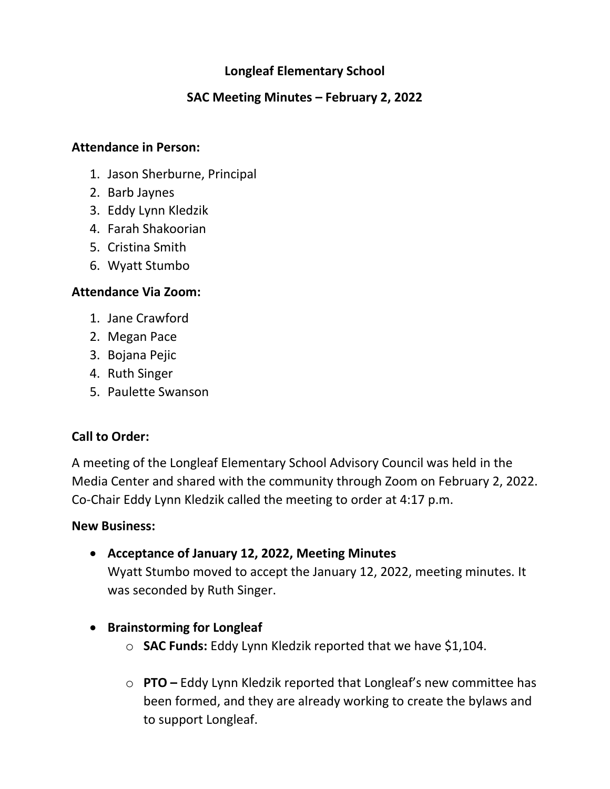## **Longleaf Elementary School**

### **SAC Meeting Minutes – February 2, 2022**

#### **Attendance in Person:**

- 1. Jason Sherburne, Principal
- 2. Barb Jaynes
- 3. Eddy Lynn Kledzik
- 4. Farah Shakoorian
- 5. Cristina Smith
- 6. Wyatt Stumbo

#### **Attendance Via Zoom:**

- 1. Jane Crawford
- 2. Megan Pace
- 3. Bojana Pejic
- 4. Ruth Singer
- 5. Paulette Swanson

### **Call to Order:**

A meeting of the Longleaf Elementary School Advisory Council was held in the Media Center and shared with the community through Zoom on February 2, 2022. Co-Chair Eddy Lynn Kledzik called the meeting to order at 4:17 p.m.

#### **New Business:**

• **Acceptance of January 12, 2022, Meeting Minutes**

Wyatt Stumbo moved to accept the January 12, 2022, meeting minutes. It was seconded by Ruth Singer.

- **Brainstorming for Longleaf**
	- o **SAC Funds:** Eddy Lynn Kledzik reported that we have \$1,104.
	- o **PTO –** Eddy Lynn Kledzik reported that Longleaf's new committee has been formed, and they are already working to create the bylaws and to support Longleaf.